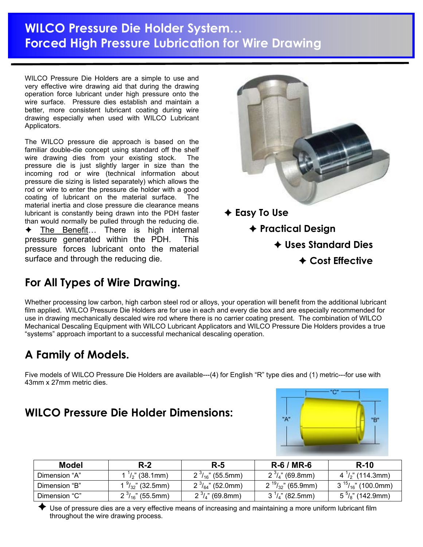# **WILCO Pressure Die Holder System… Forced High Pressure Lubrication for Wire Drawing**

WILCO Pressure Die Holders are a simple to use and very effective wire drawing aid that during the drawing operation force lubricant under high pressure onto the wire surface. Pressure dies establish and maintain a better, more consistent lubricant coating during wire drawing especially when used with WILCO Lubricant Applicators.

The WILCO pressure die approach is based on the familiar double-die concept using standard off the shelf wire drawing dies from your existing stock. The pressure die is just slightly larger in size than the incoming rod or wire (technical information about pressure die sizing is listed separately) which allows the rod or wire to enter the pressure die holder with a good coating of lubricant on the material surface. The material inertia and close pressure die clearance means lubricant is constantly being drawn into the PDH faster than would normally be pulled through the reducing die. The Benefit... There is high internal pressure generated within the PDH. This pressure forces lubricant onto the material surface and through the reducing die.



## **For All Types of Wire Drawing.**

Whether processing low carbon, high carbon steel rod or alloys, your operation will benefit from the additional lubricant film applied. WILCO Pressure Die Holders are for use in each and every die box and are especially recommended for use in drawing mechanically descaled wire rod where there is no carrier coating present. The combination of WILCO Mechanical Descaling Equipment with WILCO Lubricant Applicators and WILCO Pressure Die Holders provides a true "systems" approach important to a successful mechanical descaling operation.

# **A Family of Models.**

Five models of WILCO Pressure Die Holders are available---(4) for English "R" type dies and (1) metric---for use with 43mm x 27mm metric dies.

### **WILCO Pressure Die Holder Dimensions:**



| Model         | $R-2$                     | $R-5$                    | $R-6/MR-6$                 | $R-10$                               |
|---------------|---------------------------|--------------------------|----------------------------|--------------------------------------|
| Dimension "A" | $\frac{1}{2}$ " (38.1mm)  | $2^{3}/_{16}$ " (55.5mm) | $2^{3}/_{4}$ " (69.8mm)    | $4^{\frac{1}{2}}$ (114.3mm)          |
| Dimension "B" | $\frac{9}{32}$ " (32.5mm) | $2^{3}/_{64}$ " (52.0mm) | $2^{19}/_{32}$ " (65.9mm)  | $3^{15}$ / <sub>16</sub> " (100.0mm) |
| Dimension "C" | $2^{3}/_{16}$ " (55.5mm)  | $2^{3}/_{4}$ " (69.8mm)  | $3^{\frac{1}{4}}$ (82.5mm) | $5\frac{5}{8}$ " (142.9mm)           |

Use of pressure dies are a very effective means of increasing and maintaining a more uniform lubricant film throughout the wire drawing process.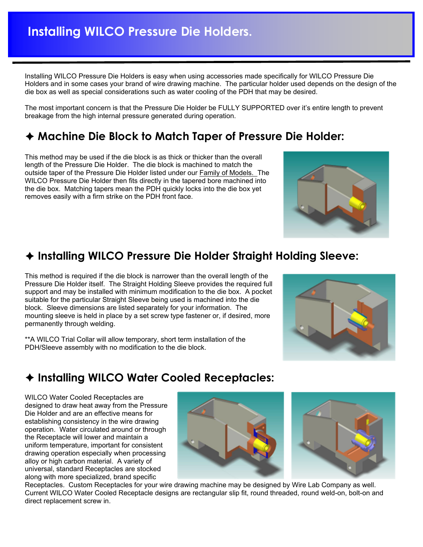Installing WILCO Pressure Die Holders is easy when using accessories made specifically for WILCO Pressure Die Holders and in some cases your brand of wire drawing machine. The particular holder used depends on the design of the die box as well as special considerations such as water cooling of the PDH that may be desired.

The most important concern is that the Pressure Die Holder be FULLY SUPPORTED over it's entire length to prevent breakage from the high internal pressure generated during operation.

### Ê **Machine Die Block to Match Taper of Pressure Die Holder:**

This method may be used if the die block is as thick or thicker than the overall length of the Pressure Die Holder. The die block is machined to match the outside taper of the Pressure Die Holder listed under our Family of Models. The WILCO Pressure Die Holder then fits directly in the tapered bore machined into the die box. Matching tapers mean the PDH quickly locks into the die box yet removes easily with a firm strike on the PDH front face.

## Ê **Installing WILCO Pressure Die Holder Straight Holding Sleeve:**

This method is required if the die block is narrower than the overall length of the Pressure Die Holder itself. The Straight Holding Sleeve provides the required full support and may be installed with minimum modification to the die box. A pocket suitable for the particular Straight Sleeve being used is machined into the die block. Sleeve dimensions are listed separately for your information. The mounting sleeve is held in place by a set screw type fastener or, if desired, more permanently through welding.

\*\*A WILCO Trial Collar will allow temporary, short term installation of the PDH/Sleeve assembly with no modification to the die block.

# Ê **Installing WILCO Water Cooled Receptacles:**

WILCO Water Cooled Receptacles are designed to draw heat away from the Pressure Die Holder and are an effective means for establishing consistency in the wire drawing operation. Water circulated around or through the Receptacle will lower and maintain a uniform temperature, important for consistent drawing operation especially when processing alloy or high carbon material. A variety of universal, standard Receptacles are stocked along with more specialized, brand specific

Receptacles. Custom Receptacles for your wire drawing machine may be designed by Wire Lab Company as well. Current WILCO Water Cooled Receptacle designs are rectangular slip fit, round threaded, round weld-on, bolt-on and direct replacement screw in.





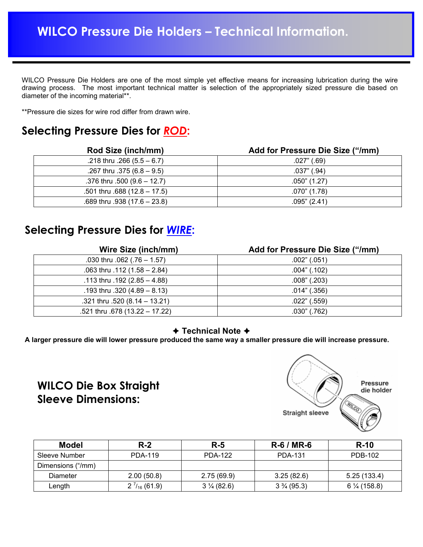WILCO Pressure Die Holders are one of the most simple yet effective means for increasing lubrication during the wire drawing process. The most important technical matter is selection of the appropriately sized pressure die based on diameter of the incoming material\*\*.

\*\*Pressure die sizes for wire rod differ from drawn wire.

#### **Selecting Pressure Dies for** *ROD***:**

| Rod Size (inch/mm)               | Add for Pressure Die Size ("/mm) |  |  |
|----------------------------------|----------------------------------|--|--|
| .218 thru .266 $(5.5 - 6.7)$     | $.027$ " (.69)                   |  |  |
| .267 thru .375 $(6.8 - 9.5)$     | $.037$ " $(.94)$                 |  |  |
| .376 thru $.500$ (9.6 – 12.7)    | $.050$ " (1.27)                  |  |  |
| $.501$ thru $.688$ (12.8 – 17.5) | $.070"$ (1.78)                   |  |  |
| $.689$ thru $.938$ (17.6 - 23.8) | $.095$ " (2.41)                  |  |  |

### **Selecting Pressure Dies for** *WIRE***:**

| <b>Wire Size (inch/mm)</b>      | Add for Pressure Die Size ("/mm) |  |  |
|---------------------------------|----------------------------------|--|--|
| .030 thru $.062$ (.76 - 1.57)   | .002" (.051)                     |  |  |
| .063 thru .112 $(1.58 - 2.84)$  | $.004$ " $(.102)$                |  |  |
| .113 thru .192 $(2.85 - 4.88)$  | $.008$ " (.203)                  |  |  |
| .193 thru .320 $(4.89 - 8.13)$  | $.014$ " $(.356)$                |  |  |
| .321 thru .520 $(8.14 - 13.21)$ | $.022"$ (.559)                   |  |  |
| .521 thru .678 (13.22 - 17.22)  | $.030$ " $(.762)$                |  |  |

#### **← Technical Note ←**

**A larger pressure die will lower pressure produced the same way a smaller pressure die will increase pressure.**

### **WILCO Die Box Straight Sleeve Dimensions:**



| <b>Model</b>      | $R-2$                | $R-5$                | $R - 6 / MR - 6$      | <b>R-10</b>            |
|-------------------|----------------------|----------------------|-----------------------|------------------------|
| Sleeve Number     | PDA-119              | <b>PDA-122</b>       | PDA-131               | PDB-102                |
| Dimensions ("/mm) |                      |                      |                       |                        |
| <b>Diameter</b>   | 2.00(50.8)           | 2.75(69.9)           | 3.25(82.6)            | 5.25(133.4)            |
| Length            | $2^{7}/_{16}$ (61.9) | $3\frac{1}{4}(82.6)$ | $3\frac{3}{4}$ (95.3) | $6\frac{1}{4}$ (158.8) |